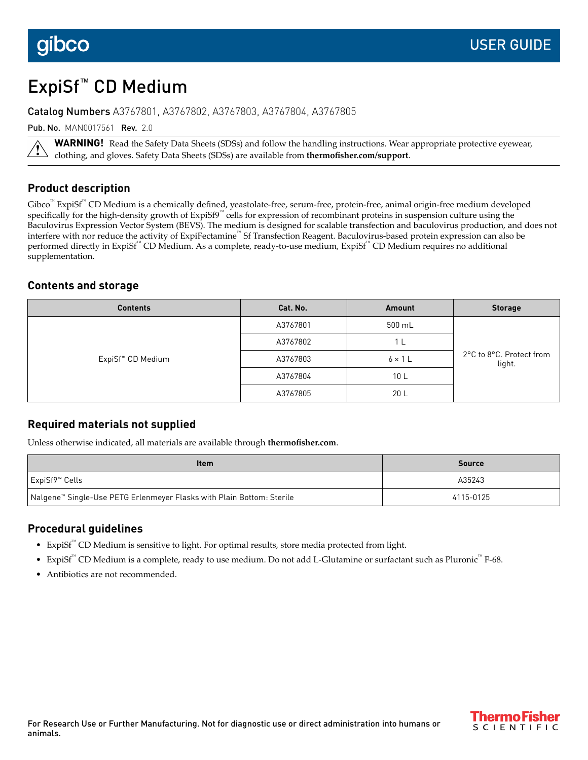# ExpiSf™ CD Medium

Catalog Numbers A3767801, A3767802, A3767803, A3767804, A3767805

Pub. No. MAN0017561 Rev. 2.0

**WARNING!** Read the Safety Data Sheets (SDSs) and follow the handling instructions. Wear appropriate protective eyewear, clothing, and gloves. Safety Data Sheets (SDSs) are available from **thermofisher.com/support**.

### **Product description**

Gibco<sup>™</sup> ExpiSf<sup>™</sup> CD Medium is a chemically defined, yeastolate-free, serum-free, protein-free, animal origin-free medium developed specifically for the high-density growth of ExpiSf9™ cells for expression of recombinant proteins in suspension culture using the Baculovirus Expression Vector System (BEVS). The medium is designed for scalable transfection and baculovirus production, and does not interfere with nor reduce the activity of ExpiFectamine™ Sf Transfection Reagent. Baculovirus-based protein expression can also be performed directly in ExpiSf™ CD Medium. As a complete, ready-to-use medium, ExpiSf™ CD Medium requires no additional supplementation.

### **Contents and storage**

| <b>Contents</b>               | Cat. No. | Amount          | <b>Storage</b>                     |
|-------------------------------|----------|-----------------|------------------------------------|
| ExpiSf <sup>™</sup> CD Medium | A3767801 | 500 mL          | 2°C to 8°C. Protect from<br>light. |
|                               | A3767802 | -1 L            |                                    |
|                               | A3767803 | $6 \times 1$ L  |                                    |
|                               | A3767804 | 10 <sub>L</sub> |                                    |
|                               | A3767805 | 20 <sub>L</sub> |                                    |

#### **Required materials not supplied**

Unless otherwise indicated, all materials are available through **thermofisher.com**.

| <b>Item</b>                                                           | <b>Source</b> |
|-----------------------------------------------------------------------|---------------|
| ExpiSf9™ Cells                                                        | A35243        |
| Nalgene™ Single-Use PETG Erlenmeyer Flasks with Plain Bottom: Sterile | 4115-0125     |

#### **Procedural guidelines**

- ExpiSf™ CD Medium is sensitive to light. For optimal results, store media protected from light.
- ExpiSf™ CD Medium is a complete, ready to use medium. Do not add L-Glutamine or surfactant such as Pluronic™ F-68.
- Antibiotics are not recommended.

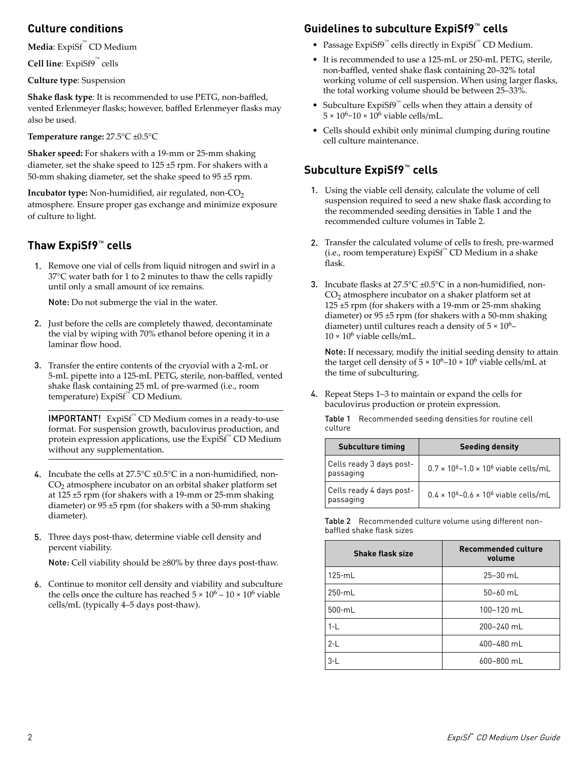### **Culture conditions**

**Media**: ExpiSf™ CD Medium

**Cell line**: ExpiSf9™ cells

**Culture type**: Suspension

Shake flask type: It is recommended to use PETG, non-baffled, vented Erlenmeyer flasks; however, baffled Erlenmeyer flasks may also be used.

#### **Temperature range:** 27.5°C ±0.5°C

**Shaker speed:** For shakers with a 19-mm or 25-mm shaking diameter, set the shake speed to 125 ±5 rpm. For shakers with a 50-mm shaking diameter, set the shake speed to 95 ±5 rpm.

**Incubator type:** Non-humidified, air regulated, non-CO<sub>2</sub> atmosphere. Ensure proper gas exchange and minimize exposure of culture to light.

### **Thaw ExpiSf9**™ **cells**

1. Remove one vial of cells from liquid nitrogen and swirl in a 37°C water bath for 1 to 2 minutes to thaw the cells rapidly until only a small amount of ice remains.

Note: Do not submerge the vial in the water.

- 2. Just before the cells are completely thawed, decontaminate the vial by wiping with 70% ethanol before opening it in a laminar flow hood.
- 3. Transfer the entire contents of the cryovial with a 2-mL or 5-mL pipette into a 125-mL PETG, sterile, non-baffled, vented shake flask containing 25 mL of pre-warmed (i.e., room temperature) ExpiSf™ CD Medium.

IMPORTANT! ExpiSf™ CD Medium comes in a ready-to-use format. For suspension growth, baculovirus production, and protein expression applications, use the ExpiSf<sup>™</sup> CD Medium without any supplementation.

- 4. Incubate the cells at  $27.5^{\circ}$ C ±0.5°C in a non-humidified, non- $\mathrm{CO}_2$  atmosphere incubator on an orbital shaker platform set at 125 ±5 rpm (for shakers with a 19-mm or 25-mm shaking diameter) or 95 ±5 rpm (for shakers with a 50-mm shaking diameter).
- 5. Three days post-thaw, determine viable cell density and percent viability.

Note: Cell viability should be ≥80% by three days post-thaw.

6. Continue to monitor cell density and viability and subculture the cells once the culture has reached  $5 \times 10^6 - 10 \times 10^6$  viable cells/mL (typically 4–5 days post-thaw).

### **Guidelines to subculture ExpiSf9**™ **cells**

- Passage ExpiSf9™ cells directly in ExpiSf™ CD Medium.
- It is recommended to use a 125-mL or 250-mL PETG, sterile, non-baffled, vented shake flask containing 20–32% total working volume of cell suspension. When using larger flasks, the total working volume should be between 25–33%.
- Subculture ExpiSf9<sup>™</sup> cells when they attain a density of  $5 \times 10^6$ -10 × 10<sup>6</sup> viable cells/mL.
- Cells should exhibit only minimal clumping during routine cell culture maintenance.

## **Subculture ExpiSf9**™ **cells**

- 1. Using the viable cell density, calculate the volume of cell suspension required to seed a new shake flask according to the recommended seeding densities in Table 1 and the recommended culture volumes in Table 2.
- 2. Transfer the calculated volume of cells to fresh, pre-warmed (i.e., room temperature) ExpiSf™ CD Medium in a shake flask.
- 3. Incubate flasks at  $27.5^{\circ}$ C ±0.5 $^{\circ}$ C in a non-humidified, non- $CO<sub>2</sub>$  atmosphere incubator on a shaker platform set at 125 ±5 rpm (for shakers with a 19-mm or 25-mm shaking diameter) or 95 ±5 rpm (for shakers with a 50-mm shaking diameter) until cultures reach a density of  $5 \times 10^6$ - $10 \times 10^6$  viable cells/mL.

Note: If necessary, modify the initial seeding density to attain the target cell density of  $5 \times 10^6$ – $10 \times 10^6$  viable cells/mL at the time of subculturing.

4. Repeat Steps 1–3 to maintain or expand the cells for baculovirus production or protein expression.

|         | Table 1 Recommended seeding densities for routine cell |
|---------|--------------------------------------------------------|
| culture |                                                        |

| <b>Subculture timing</b>              | <b>Seeding density</b>                                             |
|---------------------------------------|--------------------------------------------------------------------|
| Cells ready 3 days post-<br>passaging | $0.7 \times 10^{6} - 1.0 \times 10^{6}$ viable cells/mL            |
| Cells ready 4 days post-<br>passaging | $0.4 \times 10^{6}$ – 0.6 $\times$ 10 <sup>6</sup> viable cells/mL |

Table 2 Recommended culture volume using different nonbaffled shake flask sizes

| Shake flask size | <b>Recommended culture</b><br>volume |
|------------------|--------------------------------------|
| $125 \cdot mL$   | $25 - 30$ mL                         |
| $250 \cdot mL$   | $50 - 60$ mL                         |
| $500-mL$         | 100-120 mL                           |
| $1-L$            | 200-240 mL                           |
| $2-L$            | 400-480 mL                           |
| $3-L$            | 600-800 mL                           |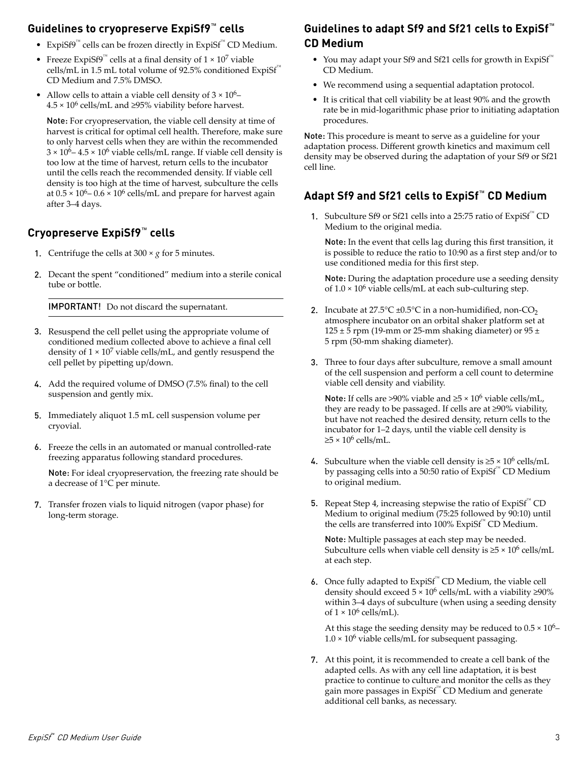### **Guidelines to cryopreserve ExpiSf9**™ **cells**

- ExpiSf9™ cells can be frozen directly in ExpiSf™ CD Medium.
- Freeze ExpiSf9<sup>™</sup> cells at a final density of  $1 \times 10^7$  viable cells/mL in 1.5 mL total volume of 92.5% conditioned ExpiSf<sup>™</sup> CD Medium and 7.5% DMSO.
- Allow cells to attain a viable cell density of  $3 \times 10^6$   $4.5 \times 10^6$  cells/mL and  $\geq 95\%$  viability before harvest.

Note: For cryopreservation, the viable cell density at time of harvest is critical for optimal cell health. Therefore, make sure to only harvest cells when they are within the recommended  $3 \times 10^6$  –  $4.5 \times 10^6$  viable cells/mL range. If viable cell density is too low at the time of harvest, return cells to the incubator until the cells reach the recommended density. If viable cell density is too high at the time of harvest, subculture the cells at  $0.5 \times 10^6$  –  $0.6 \times 10^6$  cells/mL and prepare for harvest again after 3–4 days.

### **Cryopreserve ExpiSf9**™ **cells**

- 1. Centrifuge the cells at  $300 \times g$  for 5 minutes.
- 2. Decant the spent "conditioned" medium into a sterile conical tube or bottle.

IMPORTANT! Do not discard the supernatant.

- 3. Resuspend the cell pellet using the appropriate volume of conditioned medium collected above to achieve a final cell density of  $1 \times 10^7$  viable cells/mL, and gently resuspend the cell pellet by pipetting up/down.
- 4. Add the required volume of DMSO (7.5% final) to the cell suspension and gently mix.
- 5. Immediately aliquot 1.5 mL cell suspension volume per cryovial.
- 6. Freeze the cells in an automated or manual controlled-rate freezing apparatus following standard procedures.

Note: For ideal cryopreservation, the freezing rate should be a decrease of 1°C per minute.

7. Transfer frozen vials to liquid nitrogen (vapor phase) for long-term storage.

### **Guidelines to adapt Sf9 and Sf21 cells to ExpiSf**™ **CD Medium**

- You may adapt your Sf9 and Sf21 cells for growth in ExpiSf™ CD Medium.
- We recommend using a sequential adaptation protocol.
- It is critical that cell viability be at least 90% and the growth rate be in mid-logarithmic phase prior to initiating adaptation procedures.

Note: This procedure is meant to serve as a guideline for your adaptation process. Different growth kinetics and maximum cell density may be observed during the adaptation of your Sf9 or Sf21 cell line.

### **Adapt Sf9 and Sf21 cells to ExpiSf**™ **CD Medium**

1. Subculture Sf9 or Sf21 cells into a 25:75 ratio of ExpiSf<sup>™</sup> CD Medium to the original media.

Note: In the event that cells lag during this first transition, it is possible to reduce the ratio to 10:90 as a first step and/or to use conditioned media for this first step.

Note: During the adaptation procedure use a seeding density of  $1.0 \times 10^6$  viable cells/mL at each sub-culturing step.

- 2. Incubate at  $27.5^{\circ}$ C ±0.5°C in a non-humidified, non-CO<sub>2</sub> atmosphere incubator on an orbital shaker platform set at 125  $\pm$  5 rpm (19-mm or 25-mm shaking diameter) or 95  $\pm$ 5 rpm (50-mm shaking diameter).
- 3. Three to four days after subculture, remove a small amount of the cell suspension and perform a cell count to determine viable cell density and viability.

Note: If cells are >90% viable and  $\geq 5 \times 10^6$  viable cells/mL, they are ready to be passaged. If cells are at ≥90% viability, but have not reached the desired density, return cells to the incubator for 1–2 days, until the viable cell density is  $≥5 × 10<sup>6</sup>$  cells/mL.

- 4. Subculture when the viable cell density is  $\geq 5 \times 10^6$  cells/mL by passaging cells into a 50:50 ratio of ExpiSf™ CD Medium to original medium.
- **5.** Repeat Step 4, increasing stepwise the ratio of  $Expisf^{\mathbb{N}}CD$ Medium to original medium (75:25 followed by 90:10) until the cells are transferred into 100% ExpiSf™ CD Medium.

Note: Multiple passages at each step may be needed. Subculture cells when viable cell density is  $\geq 5 \times 10^6$  cells/mL at each step.

6. Once fully adapted to  $ExpiSf^{\mathbb{N}}$  CD Medium, the viable cell density should exceed  $5 \times 10^6$  cells/mL with a viability  $\geq 90\%$ within 3–4 days of subculture (when using a seeding density of  $1 \times 10^6$  cells/mL).

At this stage the seeding density may be reduced to  $0.5 \times 10^6$ - $1.0 \times 10^6$  viable cells/mL for subsequent passaging.

7. At this point, it is recommended to create a cell bank of the adapted cells. As with any cell line adaptation, it is best practice to continue to culture and monitor the cells as they gain more passages in ExpiSf™ CD Medium and generate additional cell banks, as necessary.